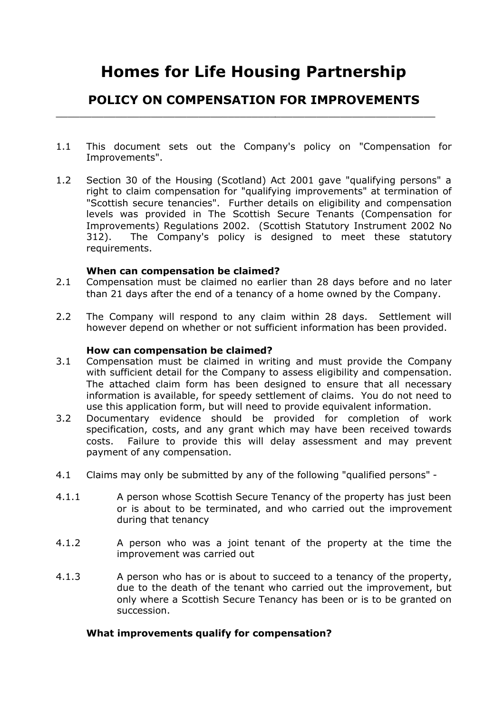# **Homes for Life Housing Partnership**

## **POLICY ON COMPENSATION FOR IMPROVEMENTS**

\_\_\_\_\_\_\_\_\_\_\_\_\_\_\_\_\_\_\_\_\_\_\_\_\_\_\_\_\_\_\_\_\_\_\_\_\_\_\_\_\_\_\_\_\_\_\_\_\_\_\_\_\_\_\_\_\_\_\_\_\_\_\_\_

- 1.1 This document sets out the Company's policy on "Compensation for Improvements".
- 1.2 Section 30 of the Housing (Scotland) Act 2001 gave "qualifying persons" a right to claim compensation for "qualifying improvements" at termination of "Scottish secure tenancies". Further details on eligibility and compensation levels was provided in The Scottish Secure Tenants (Compensation for Improvements) Regulations 2002. (Scottish Statutory Instrument 2002 No 312). The Company's policy is designed to meet these statutory requirements.

### **When can compensation be claimed?**

- 2.1 Compensation must be claimed no earlier than 28 days before and no later than 21 days after the end of a tenancy of a home owned by the Company.
- 2.2 The Company will respond to any claim within 28 days. Settlement will however depend on whether or not sufficient information has been provided.

#### **How can compensation be claimed?**

- 3.1 Compensation must be claimed in writing and must provide the Company with sufficient detail for the Company to assess eligibility and compensation. The attached claim form has been designed to ensure that all necessary information is available, for speedy settlement of claims. You do not need to use this application form, but will need to provide equivalent information.
- 3.2 Documentary evidence should be provided for completion of work specification, costs, and any grant which may have been received towards costs. Failure to provide this will delay assessment and may prevent payment of any compensation.
- 4.1 Claims may only be submitted by any of the following "qualified persons" -
- 4.1.1 A person whose Scottish Secure Tenancy of the property has just been or is about to be terminated, and who carried out the improvement during that tenancy
- 4.1.2 A person who was a joint tenant of the property at the time the improvement was carried out
- 4.1.3 A person who has or is about to succeed to a tenancy of the property, due to the death of the tenant who carried out the improvement, but only where a Scottish Secure Tenancy has been or is to be granted on succession.

### **What improvements qualify for compensation?**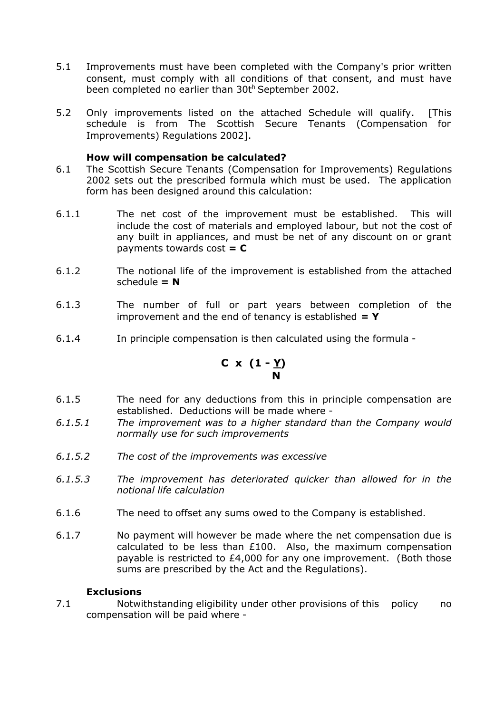- 5.1 Improvements must have been completed with the Company's prior written consent, must comply with all conditions of that consent, and must have been completed no earlier than 30th September 2002.
- 5.2 Only improvements listed on the attached Schedule will qualify. [This schedule is from The Scottish Secure Tenants (Compensation for Improvements) Regulations 2002].

## **How will compensation be calculated?**

- 6.1 The Scottish Secure Tenants (Compensation for Improvements) Regulations 2002 sets out the prescribed formula which must be used. The application form has been designed around this calculation:
- 6.1.1 The net cost of the improvement must be established. This will include the cost of materials and employed labour, but not the cost of any built in appliances, and must be net of any discount on or grant payments towards cost **= C**
- 6.1.2 The notional life of the improvement is established from the attached  $schedule = N$
- 6.1.3 The number of full or part years between completion of the improvement and the end of tenancy is established **= Y**
- 6.1.4 In principle compensation is then calculated using the formula -

$$
C \times (1 - \underline{Y})
$$

- 6.1.5 The need for any deductions from this in principle compensation are established. Deductions will be made where -
- *6.1.5.1 The improvement was to a higher standard than the Company would normally use for such improvements*
- *6.1.5.2 The cost of the improvements was excessive*
- *6.1.5.3 The improvement has deteriorated quicker than allowed for in the notional life calculation*
- 6.1.6 The need to offset any sums owed to the Company is established.
- 6.1.7 No payment will however be made where the net compensation due is calculated to be less than £100. Also, the maximum compensation payable is restricted to £4,000 for any one improvement. (Both those sums are prescribed by the Act and the Regulations).

### **Exclusions**

7.1 Notwithstanding eligibility under other provisions of this policy no compensation will be paid where -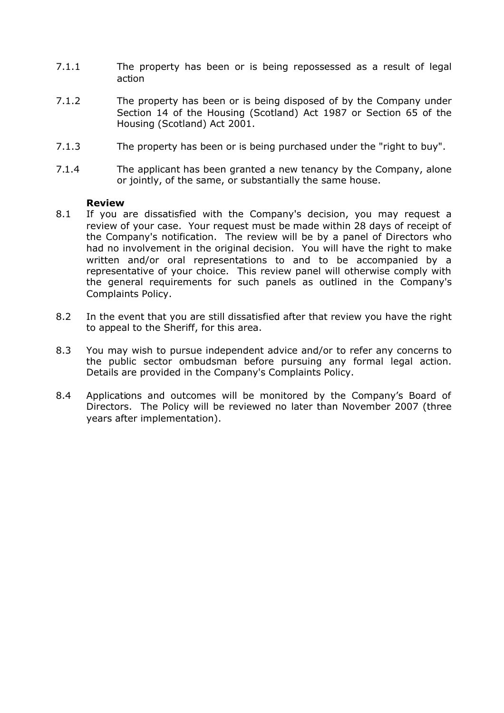- 7.1.1 The property has been or is being repossessed as a result of legal action
- 7.1.2 The property has been or is being disposed of by the Company under Section 14 of the Housing (Scotland) Act 1987 or Section 65 of the Housing (Scotland) Act 2001.
- 7.1.3 The property has been or is being purchased under the "right to buy".
- 7.1.4 The applicant has been granted a new tenancy by the Company, alone or jointly, of the same, or substantially the same house.

#### **Review**

- 8.1 If you are dissatisfied with the Company's decision, you may request a review of your case. Your request must be made within 28 days of receipt of the Company's notification. The review will be by a panel of Directors who had no involvement in the original decision. You will have the right to make written and/or oral representations to and to be accompanied by a representative of your choice. This review panel will otherwise comply with the general requirements for such panels as outlined in the Company's Complaints Policy.
- 8.2 In the event that you are still dissatisfied after that review you have the right to appeal to the Sheriff, for this area.
- 8.3 You may wish to pursue independent advice and/or to refer any concerns to the public sector ombudsman before pursuing any formal legal action. Details are provided in the Company's Complaints Policy.
- 8.4 Applications and outcomes will be monitored by the Company's Board of Directors. The Policy will be reviewed no later than November 2007 (three years after implementation).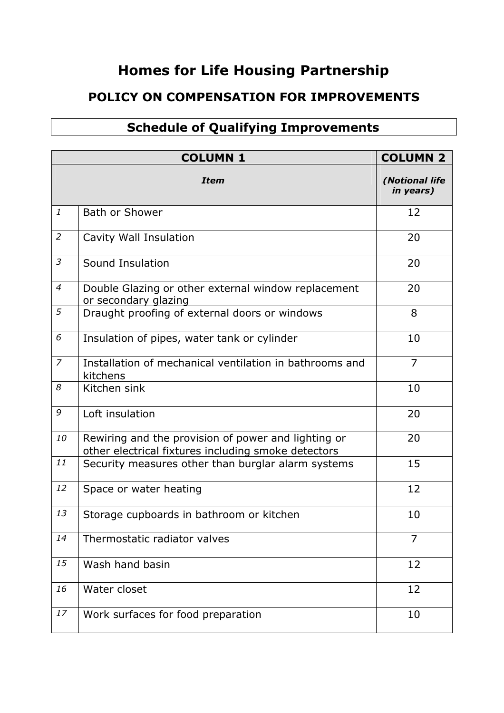## **Homes for Life Housing Partnership**

## **POLICY ON COMPENSATION FOR IMPROVEMENTS**

## **Schedule of Qualifying Improvements**

|                | <b>COLUMN 2</b>                                                                                            |                             |
|----------------|------------------------------------------------------------------------------------------------------------|-----------------------------|
|                | <b>Item</b>                                                                                                | (Notional life<br>in years) |
| $\mathbf{1}$   | <b>Bath or Shower</b>                                                                                      | 12                          |
| $\overline{2}$ | Cavity Wall Insulation                                                                                     | 20                          |
| $\mathfrak{Z}$ | Sound Insulation                                                                                           | 20                          |
| $\overline{4}$ | Double Glazing or other external window replacement<br>or secondary glazing                                | 20                          |
| 5              | Draught proofing of external doors or windows                                                              | 8                           |
| 6              | Insulation of pipes, water tank or cylinder                                                                | 10                          |
| $\overline{z}$ | Installation of mechanical ventilation in bathrooms and<br>kitchens                                        | $\overline{7}$              |
| 8              | Kitchen sink                                                                                               | 10                          |
| 9              | Loft insulation                                                                                            | 20                          |
| 10             | Rewiring and the provision of power and lighting or<br>other electrical fixtures including smoke detectors | 20                          |
| 11             | Security measures other than burglar alarm systems                                                         | 15                          |
| 12             | Space or water heating                                                                                     | 12                          |
| 13             | Storage cupboards in bathroom or kitchen                                                                   | 10                          |
| 14             | Thermostatic radiator valves                                                                               | 7                           |
| 15             | Wash hand basin                                                                                            | 12                          |
| 16             | Water closet                                                                                               | 12                          |
| 17             | Work surfaces for food preparation                                                                         | 10                          |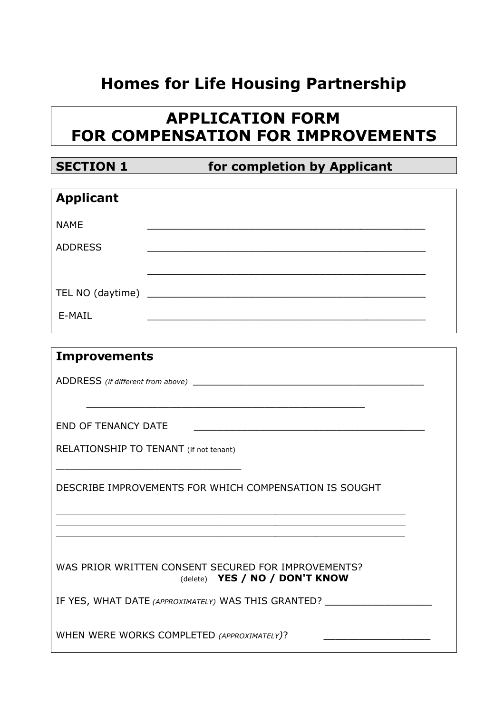# **Homes for Life Housing Partnership**

# **APPLICATION FORM FOR COMPENSATION FOR IMPROVEMENTS**

**SECTION 1 for completion by Applicant** 

| <b>Applicant</b> |  |  |
|------------------|--|--|
| <b>NAME</b>      |  |  |
| <b>ADDRESS</b>   |  |  |
|                  |  |  |
|                  |  |  |
| E-MAIL           |  |  |
|                  |  |  |

| <b>Improvements</b>                                                                                                                                                                                                        |
|----------------------------------------------------------------------------------------------------------------------------------------------------------------------------------------------------------------------------|
|                                                                                                                                                                                                                            |
|                                                                                                                                                                                                                            |
| <b>END OF TENANCY DATE</b>                                                                                                                                                                                                 |
| RELATIONSHIP TO TENANT (if not tenant)                                                                                                                                                                                     |
| DESCRIBE IMPROVEMENTS FOR WHICH COMPENSATION IS SOUGHT                                                                                                                                                                     |
| <u> 1989 - Johann John Stone, mars et al. 1989 - John Stone, mars et al. 1989 - John Stone, mars et al. 1989 - John Stone</u><br>the control of the control of the control of the control of the control of the control of |
| WAS PRIOR WRITTEN CONSENT SECURED FOR IMPROVEMENTS?<br>(delete) YES / NO / DON'T KNOW                                                                                                                                      |
| IF YES, WHAT DATE (APPROXIMATELY) WAS THIS GRANTED?                                                                                                                                                                        |
| WHEN WERE WORKS COMPLETED (APPROXIMATELY)?                                                                                                                                                                                 |